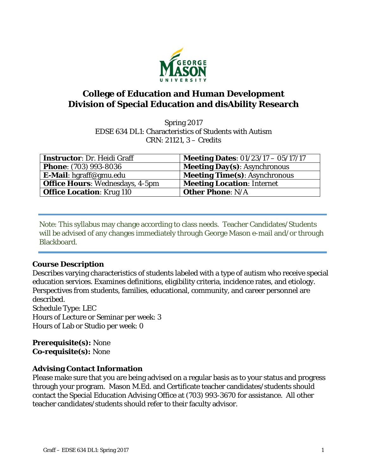

# **College of Education and Human Development Division of Special Education and disAbility Research**

Spring 2017 EDSE 634 DL1: Characteristics of Students with Autism CRN: 21121, 3 – Credits

| <b>Instructor: Dr. Heidi Graff</b>     | <b>Meeting Dates:</b> $01/23/17 - 05/17/17$ |
|----------------------------------------|---------------------------------------------|
| <b>Phone: (703) 993-8036</b>           | <b>Meeting Day(s): Asynchronous</b>         |
| E-Mail: hgraff@gmu.edu                 | <b>Meeting Time(s): Asynchronous</b>        |
| <b>Office Hours:</b> Wednesdays, 4-5pm | <b>Meeting Location: Internet</b>           |
| <b>Office Location: Krug 110</b>       | <b>Other Phone: N/A</b>                     |

Note: This syllabus may change according to class needs. Teacher Candidates/Students will be advised of any changes immediately through George Mason e-mail and/or through Blackboard.

## **Course Description**

Describes varying characteristics of students labeled with a type of autism who receive special education services. Examines definitions, eligibility criteria, incidence rates, and etiology. Perspectives from students, families, educational, community, and career personnel are described. Schedule Type: LEC Hours of Lecture or Seminar per week: 3 Hours of Lab or Studio per week: 0

**Prerequisite(s):** None **Co-requisite(s):** None

## **Advising Contact Information**

Please make sure that you are being advised on a regular basis as to your status and progress through your program. Mason M.Ed. and Certificate teacher candidates/students should contact the Special Education Advising Office at (703) 993-3670 for assistance. All other teacher candidates/students should refer to their faculty advisor.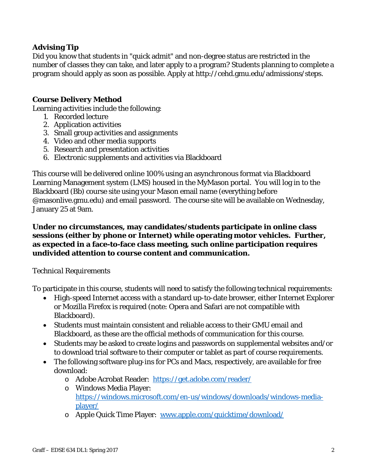## **Advising Tip**

Did you know that students in "quick admit" and non-degree status are restricted in the number of classes they can take, and later apply to a program? Students planning to complete a program should apply as soon as possible. Apply at http://cehd.gmu.edu/admissions/steps.

## **Course Delivery Method**

Learning activities include the following:

- 1. Recorded lecture
- 2. Application activities
- 3. Small group activities and assignments
- 4. Video and other media supports
- 5. Research and presentation activities
- 6. Electronic supplements and activities via Blackboard

This course will be delivered online 100% using an asynchronous format via Blackboard Learning Management system (LMS) housed in the MyMason portal. You will log in to the Blackboard (Bb) course site using your Mason email name (everything before @masonlive.gmu.edu) and email password. The course site will be available on Wednesday, January 25 at 9am.

### **Under no circumstances, may candidates/students participate in online class sessions (either by phone or Internet) while operating motor vehicles. Further, as expected in a face-to-face class meeting, such online participation requires undivided attention to course content and communication.**

#### *Technical Requirements*

To participate in this course, students will need to satisfy the following technical requirements:

- High-speed Internet access with a standard up-to-date browser, either Internet Explorer or Mozilla Firefox is required (note: Opera and Safari are not compatible with Blackboard).
- Students must maintain consistent and reliable access to their GMU email and Blackboard, as these are the official methods of communication for this course.
- Students may be asked to create logins and passwords on supplemental websites and/or to download trial software to their computer or tablet as part of course requirements.
- The following software plug-ins for PCs and Macs, respectively, are available for free download:
	- o Adobe Acrobat Reader: https://get.adobe.com/reader/
	- o Windows Media Player: https://windows.microsoft.com/en-us/windows/downloads/windows-mediaplayer/
	- o Apple Quick Time Player: www.apple.com/quicktime/download/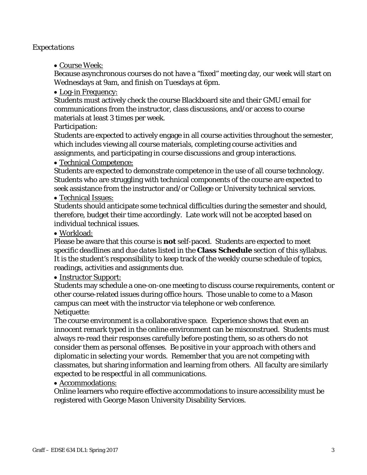#### *Expectations*

Course Week:

Because asynchronous courses do not have a "fixed" meeting day, our week will start on Wednesdays at 9am, and finish on Tuesdays at 6pm.

• Log-in Frequency:

Students must actively check the course Blackboard site and their GMU email for communications from the instructor, class discussions, and/or access to course materials at least 3 times per week.

Participation:

Students are expected to actively engage in all course activities throughout the semester, which includes viewing all course materials, completing course activities and assignments, and participating in course discussions and group interactions.

Technical Competence:

Students are expected to demonstrate competence in the use of all course technology. Students who are struggling with technical components of the course are expected to seek assistance from the instructor and/or College or University technical services.

Technical Issues:

Students should anticipate some technical difficulties during the semester and should, therefore, budget their time accordingly. Late work will not be accepted based on individual technical issues.

Workload:

Please be aware that this course is **not** self-paced. Students are expected to meet *specific deadlines* and *due dates* listed in the **Class Schedule** section of this syllabus. It is the student's responsibility to keep track of the weekly course schedule of topics, readings, activities and assignments due.

• Instructor Support:

Students may schedule a one-on-one meeting to discuss course requirements, content or other course-related issues during office hours. Those unable to come to a Mason campus can meet with the instructor via telephone or web conference. Netiquette:

The course environment is a collaborative space. Experience shows that even an innocent remark typed in the online environment can be misconstrued. Students must always re-read their responses carefully before posting them, so as others do not consider them as personal offenses. *Be positive in your approach with others and diplomatic in selecting your words*. Remember that you are not competing with classmates, but sharing information and learning from others. All faculty are similarly expected to be respectful in all communications.

Accommodations:

Online learners who require effective accommodations to insure accessibility must be registered with George Mason University Disability Services.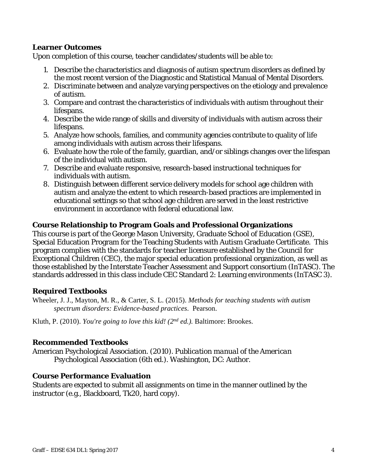### **Learner Outcomes**

Upon completion of this course, teacher candidates/students will be able to:

- 1. Describe the characteristics and diagnosis of autism spectrum disorders as defined by the most recent version of the Diagnostic and Statistical Manual of Mental Disorders.
- 2. Discriminate between and analyze varying perspectives on the etiology and prevalence of autism.
- 3. Compare and contrast the characteristics of individuals with autism throughout their lifespans.
- 4. Describe the wide range of skills and diversity of individuals with autism across their lifespans.
- 5. Analyze how schools, families, and community agencies contribute to quality of life among individuals with autism across their lifespans.
- 6. Evaluate how the role of the family, guardian, and/or siblings changes over the lifespan of the individual with autism.
- 7. Describe and evaluate responsive, research-based instructional techniques for individuals with autism.
- 8. Distinguish between different service delivery models for school age children with autism and analyze the extent to which research-based practices are implemented in educational settings so that school age children are served in the least restrictive environment in accordance with federal educational law.

## **Course Relationship to Program Goals and Professional Organizations**

This course is part of the George Mason University, Graduate School of Education (GSE), Special Education Program for the Teaching Students with Autism Graduate Certificate. This program complies with the standards for teacher licensure established by the Council for Exceptional Children (CEC), the major special education professional organization, as well as those established by the Interstate Teacher Assessment and Support consortium (InTASC). The standards addressed in this class include CEC Standard 2: Learning environments (InTASC 3).

#### **Required Textbooks**

Wheeler, J. J., Mayton, M. R., & Carter, S. L. (2015). *Methods for teaching students with autism spectrum disorders: Evidence-based practices*. Pearson.

Kluth, P. (2010). *You're going to love this kid! (2nd ed.).* Baltimore: Brookes.

#### **Recommended Textbooks**

American Psychological Association*. (2010). Publication manual of the American Psychological Association* (6th ed.). Washington, DC: Author.

#### **Course Performance Evaluation**

Students are expected to submit all assignments on time in the manner outlined by the instructor (e.g., Blackboard, Tk20, hard copy).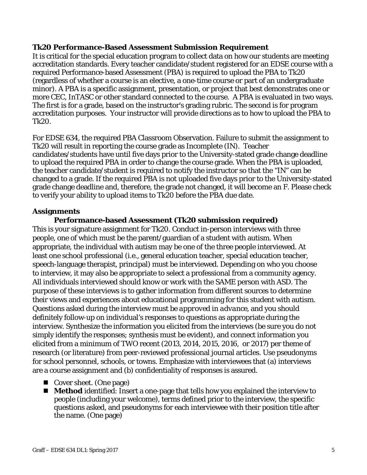#### **Tk20 Performance-Based Assessment Submission Requirement**

It is critical for the special education program to collect data on how our students are meeting accreditation standards. Every teacher candidate/student registered for an EDSE course with a required Performance-based Assessment (PBA) is required to upload the PBA to Tk20 (regardless of whether a course is an elective, a one-time course or part of an undergraduate minor). A PBA is a specific assignment, presentation, or project that best demonstrates one or more CEC, InTASC or other standard connected to the course. A PBA is evaluated in two ways. The first is for a grade, based on the instructor's grading rubric. The second is for program accreditation purposes. Your instructor will provide directions as to how to upload the PBA to Tk20.

For EDSE 634, the required PBA Classroom Observation. Failure to submit the assignment to Tk20 will result in reporting the course grade as Incomplete (IN). Teacher candidates/students have until five days prior to the University-stated grade change deadline to upload the required PBA in order to change the course grade. When the PBA is uploaded, the teacher candidate/student is required to notify the instructor so that the "IN" can be changed to a grade. If the required PBA is not uploaded five days prior to the University-stated grade change deadline and, therefore, the grade not changed, it will become an F. Please check to verify your ability to upload items to Tk20 before the PBA due date.

## **Assignments**

## **Performance-based Assessment (Tk20 submission required)**

This is your signature assignment for Tk20. Conduct in-person interviews with three people, one of which must be the parent/guardian of a student with autism. When appropriate, the individual with autism may be one of the three people interviewed. At least one school professional (i.e., general education teacher, special education teacher, speech-language therapist, principal) must be interviewed. Depending on who you choose to interview, it may also be appropriate to select a professional from a community agency. All individuals interviewed should know or work with the SAME person with ASD. The purpose of these interviews is to gather information from different sources to determine their views and experiences about educational programming for this student with autism. Questions asked during the interview *must be approved in advance*, and you should definitely follow-up on individual's responses to questions as appropriate during the interview. Synthesize the information you elicited from the interviews (be sure you do not simply identify the responses; synthesis must be evident), and connect information you elicited from a minimum of TWO recent (2013, 2014, 2015, 2016, or 2017) per theme of research (or literature) from peer-reviewed professional journal articles. Use pseudonyms for school personnel, schools, or towns. Emphasize with interviewees that (a) interviews are a course assignment and (b) confidentiality of responses is assured.

- Cover sheet. (One page)
- **Method** identified: Insert a one-page that tells how you explained the interview to people (including your welcome), terms defined prior to the interview, the specific questions asked, and pseudonyms for each interviewee with their position title after the name. (One page)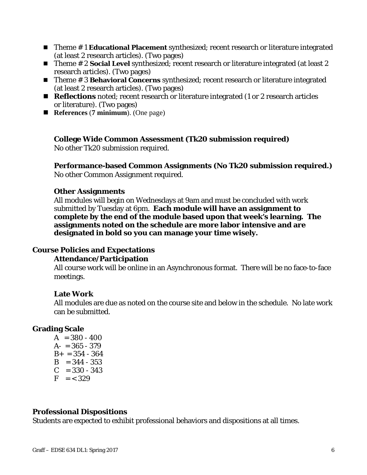- Theme #1 **Educational Placement** synthesized; recent research or literature integrated (at least 2 research articles). (Two pages)
- Theme # 2 **Social Level** synthesized; recent research or literature integrated (at least 2 research articles). (Two pages)
- Theme # 3 **Behavioral Concerns** synthesized; recent research or literature integrated (at least 2 research articles). (Two pages)
- **Reflections** noted; recent research or literature integrated (1 or 2 research articles or literature). (Two pages)
- **References** (**7 minimum**). (One page)

#### **College Wide Common Assessment (Tk20 submission required)**

No other Tk20 submission required.

**Performance-based Common Assignments (No Tk20 submission required.)** No other Common Assignment required.

#### **Other Assignments**

All modules will begin on Wednesdays at 9am and must be concluded with work submitted by Tuesday at 6pm. **Each module will have an assignment to complete by the end of the module based upon that week's learning. The assignments noted on the schedule are more labor intensive and are designated in bold so you can manage your time wisely.**

#### **Course Policies and Expectations**

#### **Attendance/Participation**

All course work will be online in an Asynchronous format. There will be no face-to-face meetings.

#### **Late Work**

All modules are due as noted on the course site and below in the schedule. No late work can be submitted.

#### **Grading Scale**

 $A = 380 - 400$  $A- = 365 - 379$  $B_+ = 354 - 364$  $B = 344 - 353$  $C = 330 - 343$  $F = < 329$ 

#### **Professional Dispositions**

Students are expected to exhibit professional behaviors and dispositions at all times.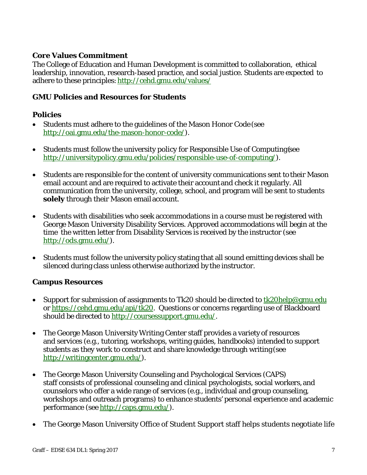## **Core Values Commitment**

The College of Education and Human Development is committed to collaboration, ethical leadership, innovation, research-based practice, and social justice. Students are expected to adhere to these principles: http://cehd.gmu.edu/values/

## **GMU Policies and Resources for Students**

## **Policies**

- Students must adhere to the guidelines of the Mason Honor Code (see http://oai.gmu.edu/the-mason-honor-code/).
- Students must follow the university policy for Responsible Use of Computing (see http://universitypolicy.gmu.edu/policies/responsible-use-of-computing/).
- Students are responsible for the content of university communications sent to their Mason email account and are required to activate their account and check it regularly. All communication from the university, college, school, and program will be sent to students **solely** through their Mason email account.
- Students with disabilities who seek accommodations in a course must be registered with George Mason University Disability Services. Approved accommodations will begin at the time the written letter from Disability Services is received by the instructor (see http://ods.gmu.edu/).
- Students must follow the university policy stating that all sound emitting devices shall be silenced during class unless otherwise authorized by the instructor.

## **Campus Resources**

- Support for submission of assignments to Tk20 should be directed to  $\frac{tk20\text{help@gmu.edu}}{tk20\text{help@gmu.edu}}$ or https://cehd.gmu.edu/api/tk20. Questions or concerns regarding use of Blackboard should be directed to http://coursessupport.gmu.edu/.
- The George Mason University Writing Center staff provides a variety of resources and services (e.g., tutoring, workshops, writing guides, handbooks) intended to support students as they work to construct and share knowledge through writing (see http://writingcenter.gmu.edu/).
- The George Mason University Counseling and Psychological Services (CAPS) staff consists of professional counseling and clinical psychologists, social workers, and counselors who offer a wide range of services (e.g., individual and group counseling, workshops and outreach programs) to enhance students' personal experience and academic performance (see http://caps.gmu.edu/).
- The George Mason University Office of Student Support staff helps students negotiate life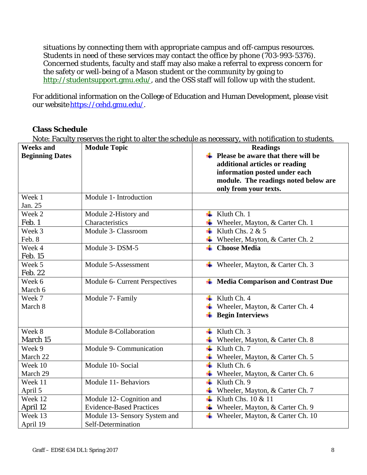situations by connecting them with appropriate campus and off-campus resources. Students in need of these services may contact the office by phone (703-993-5376). Concerned students, faculty and staff may also make a referral to express concern for the safety or well-being of a Mason student or the community by going to http://studentsupport.gmu.edu/, and the OSS staff will follow up with the student.

For additional information on the College of Education and Human Development, please visit our website https://cehd.gmu.edu/.

### **Class Schedule**

Note: Faculty reserves the right to alter the schedule as necessary, with notification to students.

| <b>Weeks and</b>       | <b>Module Topic</b>             | <b>Readings</b>                                         |
|------------------------|---------------------------------|---------------------------------------------------------|
| <b>Beginning Dates</b> |                                 | Please be aware that there will be                      |
|                        |                                 | additional articles or reading                          |
|                        |                                 | information posted under each                           |
|                        |                                 | module. The readings noted below are                    |
|                        |                                 | only from your texts.                                   |
| Week 1                 | Module 1- Introduction          |                                                         |
| Jan. 25                |                                 |                                                         |
| Week 2                 | Module 2-History and            | Kluth Ch. 1<br>۰.                                       |
| Feb. 1                 | Characteristics                 | Wheeler, Mayton, & Carter Ch. 1                         |
| Week 3                 | Module 3- Classroom             | Kluth Chs. $2 & 5$                                      |
| Feb. 8                 |                                 | Wheeler, Mayton, & Carter Ch. 2                         |
| Week 4                 | Module 3- DSM-5                 | <b>Choose Media</b>                                     |
| <b>Feb. 15</b>         |                                 |                                                         |
| Week 5                 | Module 5-Assessment             | Wheeler, Mayton, & Carter Ch. 3<br>۰.                   |
| Feb. 22                |                                 |                                                         |
| Week 6                 | Module 6- Current Perspectives  | <b>Media Comparison and Contrast Due</b><br>۰.          |
| March 6                |                                 |                                                         |
| Week 7                 | Module 7- Family                | Kluth Ch. 4<br>÷                                        |
| March 8                |                                 | Wheeler, Mayton, & Carter Ch. 4                         |
|                        |                                 | <b>Begin Interviews</b>                                 |
|                        |                                 |                                                         |
| Week 8                 | Module 8-Collaboration          | Kluth Ch. 3                                             |
| March 15               |                                 | $\overline{\text{}}$ Wheeler, Mayton, & Carter Ch. 8    |
| Week 9                 | Module 9- Communication         | $\ddot{\phantom{1}}$<br>Kluth Ch. 7                     |
| March 22               |                                 | Wheeler, Mayton, & Carter Ch. 5                         |
| Week 10                | Module 10- Social               | Kluth Ch. 6<br>÷                                        |
| March 29               |                                 | Wheeler, Mayton, & Carter Ch. 6                         |
| Week 11                | Module 11- Behaviors            | Kluth Ch. 9<br>÷                                        |
| April 5                |                                 | $\overline{\mathbf{H}}$ Wheeler, Mayton, & Carter Ch. 7 |
| Week 12                | Module 12- Cognition and        | Kluth Chs. 10 & 11                                      |
| April 12               | <b>Evidence-Based Practices</b> | Wheeler, Mayton, & Carter Ch. 9                         |
| Week 13                | Module 13- Sensory System and   | Wheeler, Mayton, & Carter Ch. 10<br>÷                   |
| April 19               | Self-Determination              |                                                         |